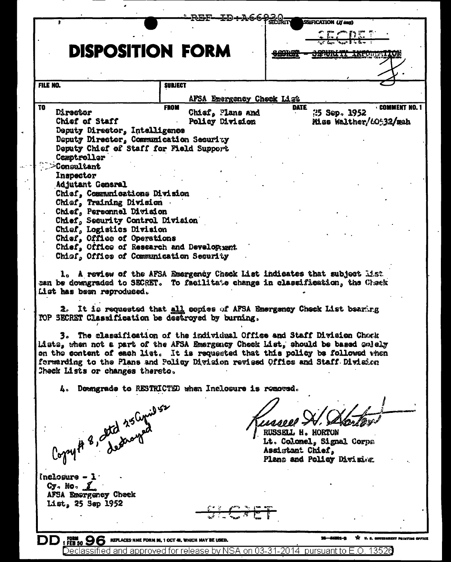|                                                    | —ID+А66930-                                           | SSUFICATION (If east)                                                                                                                                                                                                                                                                                                         |
|----------------------------------------------------|-------------------------------------------------------|-------------------------------------------------------------------------------------------------------------------------------------------------------------------------------------------------------------------------------------------------------------------------------------------------------------------------------|
|                                                    |                                                       | <u>chendri</u>                                                                                                                                                                                                                                                                                                                |
| <b>DISPOSITION FORM</b>                            |                                                       | <b>BADICELL TWLANDSAITA</b>                                                                                                                                                                                                                                                                                                   |
|                                                    |                                                       |                                                                                                                                                                                                                                                                                                                               |
| FILE NO.                                           | <b>SUBJECT</b>                                        |                                                                                                                                                                                                                                                                                                                               |
|                                                    | AFSA Energency Check List                             |                                                                                                                                                                                                                                                                                                                               |
| TO<br>Director                                     | <b>FROM</b><br>Chief, Plans and                       | <b>COMMENT NO.</b><br>DATE<br>25 Sep. 1952                                                                                                                                                                                                                                                                                    |
| Chief of Staff                                     | Policy Division                                       | Miss Walther/60532/mah                                                                                                                                                                                                                                                                                                        |
| Deputy Director, Intalligence                      |                                                       |                                                                                                                                                                                                                                                                                                                               |
| Deputy Director, Communication Security            |                                                       |                                                                                                                                                                                                                                                                                                                               |
| Deputy Chief of Staff for Field Support            |                                                       |                                                                                                                                                                                                                                                                                                                               |
| Comptroller                                        |                                                       |                                                                                                                                                                                                                                                                                                                               |
| <b>Consultant</b>                                  |                                                       |                                                                                                                                                                                                                                                                                                                               |
| Inapector                                          |                                                       |                                                                                                                                                                                                                                                                                                                               |
| <b>Adjutant General</b>                            |                                                       |                                                                                                                                                                                                                                                                                                                               |
| Chief, Communications Division                     |                                                       |                                                                                                                                                                                                                                                                                                                               |
| Chief, Training Division                           |                                                       |                                                                                                                                                                                                                                                                                                                               |
| Chief, Personnel Division                          |                                                       |                                                                                                                                                                                                                                                                                                                               |
| Chief, Security Control Division                   |                                                       |                                                                                                                                                                                                                                                                                                                               |
| Chief, Logistics Division                          |                                                       |                                                                                                                                                                                                                                                                                                                               |
| Chief, Office of Operations                        |                                                       |                                                                                                                                                                                                                                                                                                                               |
| Chief, Office of Research and Develogment.         |                                                       |                                                                                                                                                                                                                                                                                                                               |
| Chief, Office of Communication Security            |                                                       |                                                                                                                                                                                                                                                                                                                               |
| List has been reproduced.                          |                                                       | 1. A review of the AFSA Emergency Check List indicates that subject Mist<br>can be downgraded to SECRET. To facilitate change in classification, the Check                                                                                                                                                                    |
| TOP SECRET Classification be destroyed by burning. |                                                       | 2. It is requested that all copies of AFSA Emergency Check List bearing                                                                                                                                                                                                                                                       |
| Check Lists or changes thereto.                    |                                                       | 3. The classification of the individual Office and Staff Division Chock<br>Lista, when not a part of the AFSA Emergency Check List, should be based onlely<br>on the content of each list. It is requested that this policy be followed when<br>fermarding to the Plans and Polisy Division revised Offics and Staff Division |
|                                                    | 4. Downgrade to RESTRICTED when Inclosure is removed. |                                                                                                                                                                                                                                                                                                                               |
| Copy # 8, Itd 25 Cynil 52                          |                                                       | RUSSELL H. HORTON<br>Lt. Colomel, Signal Corpa<br>Assistant Chief,<br>Plans and Policy Division                                                                                                                                                                                                                               |
|                                                    |                                                       |                                                                                                                                                                                                                                                                                                                               |

nelosure - 1<br>Cy. No. <u>1</u><br>AFSA Emergency Check<br>List, 25 Sep 1952

J.

 $\sim$   $^{\circ}$ 

≲r gi  $\overline{\mathcal{F}}$ 

> $16 - 64801 - 3$ \*\* U. S. COVERNMENT PRINTING OFFICE

DD | FEB 50 96 REPLACES NNE FORM 96, 1 OCT 4. WHICH MAY BE USED. THE COLLECT STATE OF THE SOUTH THE COLLECT ON THE COLLECT OF THE GOVERNMENT OF THE COLLECT OF THE COLLECT OF THE COLLECT OF THE COLLECT OF THE COLLECT OF THE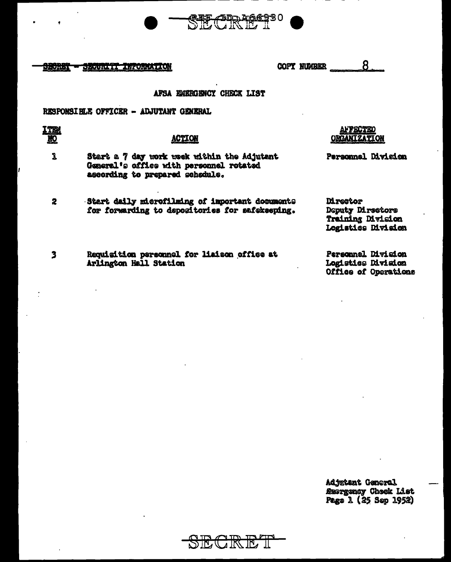

<del>sechet</del> SECURITI INPORMATION

8 **COPY NUMBER** 

# AFSA EMERGENCY CHECK LIST

# RESPONSIBLE OFFICER - ADJUTANT GENERAL

| r |  |
|---|--|
|   |  |

## **ACTION**

- $\mathbf 3$ Start a 7 day work wook within the Adjutant General's office with personnel rotated ascording to prepared schedule.
- Start daily microfilming of important documents  $\overline{2}$ for forwarding to depositories for anfekseping.
- $\overline{\mathbf{3}}$ Requisition personnel for liaison office at Arlington Hall Station

af **fecte**d **ORGANTZATION** 

Personnel Division

**M**restor Deputy Directors Training Division Logistics Division

Personnel Division Logistics Division Office of Operations

Adjutant General **Suorgancy Check List** Page 1 (25 Sep 1952)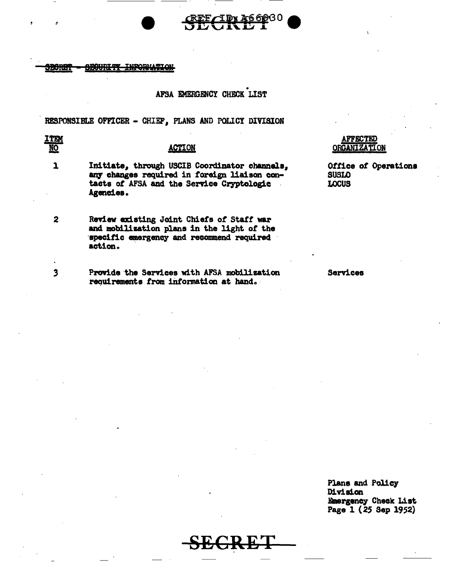#### <del>BBOURIT</del> **WPORMATION** <del>SBORE</del>

# AFSA EMERGENCY CHECK LIST

RESPONSIBLE OFFICER - CHIEF, PLANS AND POLICY DIVISION

## <u>ITEM</u> NO<sub></sub>

 $\mathbf{1}$ 

 $\overline{2}$ 

 $\overline{\mathbf{3}}$ 

## **ACTION**

- Initiate, through USCIB Coordinator channels, any changes required in foreign liaison contacts of AFSA and the Service Cryptologic Agencies.
- Review existing Joint Chiefs of Staff war and mobilization plans in the light of the specific emergency and recommend required action.
	- Provide the Services with AFSA mobilization requirements from information at hand.

## **AFFECTED ORGANIZATION**

Office of Operations **SUSLO LOCUS** 

**Services** 

Plans and Policy Division Emergency Check List Page 1 (25 Sep 1952)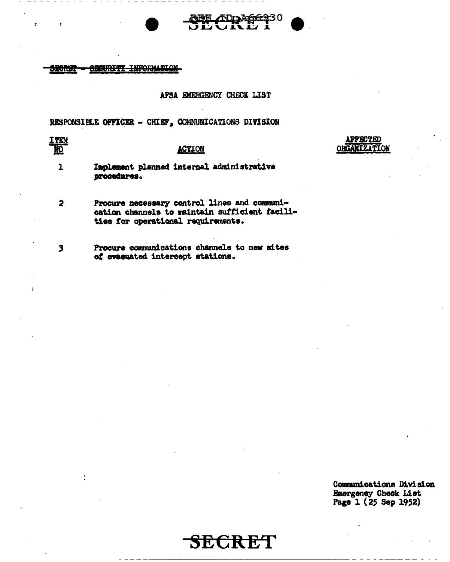

## AFSA EMERGENCY CHECK LIST

RESPONSIELE OFFICER - CHIEF, COMMUNICATIONS DIVISION

ITEN  $\overline{\mathbf{30}}$ 

## **ACTION**

**AFFECTED ORGANIZATION** 

Implement planned internal administrative  $\mathbf{1}$ procedures.

 $\overline{\mathbf{2}}$ Procure necessary control lines and communication channels to maintain sufficient facilities for operational requirements.

 $\overline{\mathbf{3}}$ 

Procure communications channels to new sites of evacuated intercept stations.

> Communications Division Emergency Check List Page 1 (25 Sep 1952)

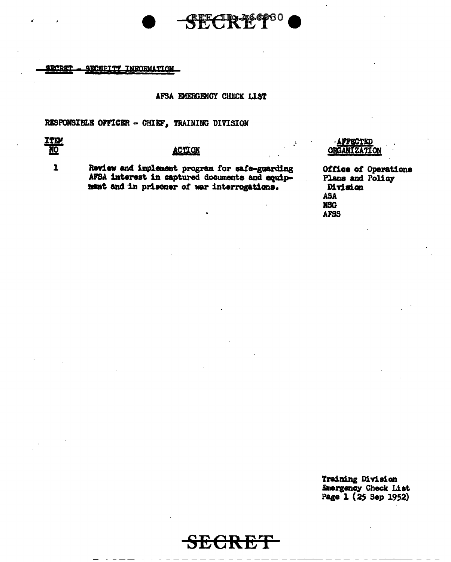

**SRCRET SROUT TWRORMATION** 

#### AFSA EMERGENCY CHECK LIST

RESPONSIBLE OFFICER - CHIEF, TRAINING DIVISION

# **ITE! NO**

 $\mathbf{1}$ 

## **ACTION**

Review and implement program for safe-guarding<br>AFSA interest in captured documents and equipment and in prisoner of war interrogations.

### APPECTED **ORGANIZATION**

Office of Operations Plans and Policy Division **ASA NSC AFSS** 

Training Division **Emergency Check List** Page 1 (25 Sep 1952)

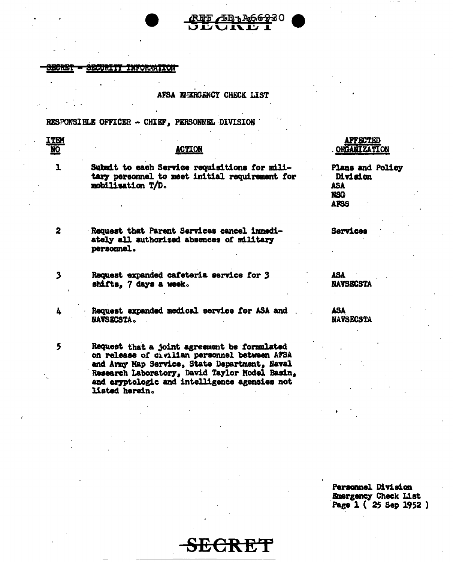

5

## AFSA EMERGENCY CHECK LIST

RESPONSIBLE OFFICER - CHIEF, PERSONNEL DIVISION

ITEM  $\underline{NQ}$ **ACTION**  $\mathbf{1}$ Submit to each Service requisitions for military personnel to meet initial requirement for Division mobilisation T/D. **ASA NSG AFSS**  $\overline{2}$ Request that Parent Services cancel immedi-Sarvices ately all authorized absences of military personnel.  $\overline{\mathbf{3}}$ Request expanded cafeteria service for 3 **ASA** shifts, 7 days a week.

Request expanded medical service for ASA and 4 NAVSECSTA.

Request that a joint agreement be formulated on release of civilian personnel between AFSA and Army Map Service, State Department, Naval Research Laboratory, David Taylor Model Basin, and cryptologic and intelligence agencies not listed herein.

**AFFECTED ORGANIZATION** 

Plans and Policy

**NAVSECSTA** 

**ASA NAVSECSTA** 

Personnel Division Emergency Check List Page 1 (25 Sep 1952)

SIGGRET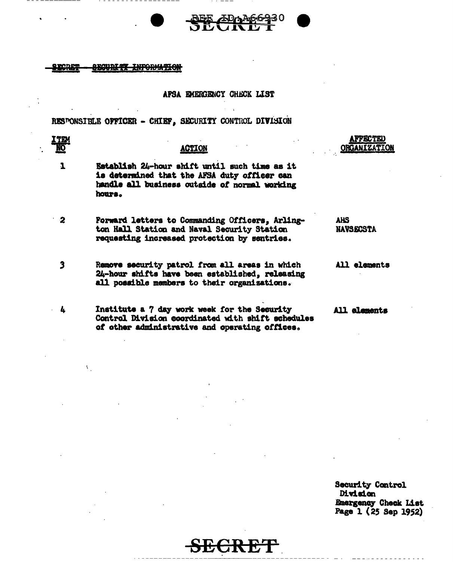#### **ECRET** <del>uriti informtio</del>

<u>ITD</u> **NO** 

 $\mathbf{I}$ 

L.

V.

#### APSA EMERGENCY CHECK LIST

RESPONSIBLE OFFICER - CHIEF, SECURITY CONTROL DIVISION

### **ACTION**

- Establish 24-hour shift until such time as it is determined that the AFSA duty officer can handle all business outside of normal working hours.
- Forward letters to Commanding Officers, Arling- $\overline{2}$ ton Hall Station and Naval Security Station requesting increased protection by sentries.
- $\overline{\mathbf{3}}$ Remove security patrol from all areas in which 24-hour shifts have been established, releasing all possible members to their organizations.
	- Institute a 7 day work week for the Security Control Division coordinated with shift schedules of other administrative and operating offices.

# affected **ORGANIZATION**

## **AHS NAVSECSTA**

All elements

All elements

**Security Control Division** Emergency Check List Page 1 (25 Sep 1952)

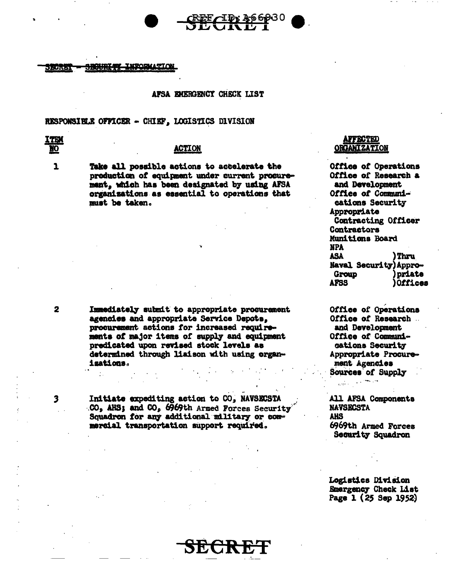



#### AFSA EMERGENCY CHECK LIST

### RESPONSIBLE OFFICER - CHIEF, LOGISTICS DIVISION

**TE** Ю

 $\mathbf{L}$ 

#### **ACTION**

Take all possible actions to actelerate the production of equipment under current procurement, which has been designated by using AFSA organizations as essential to operations that must be taken.

**AFFECTED ORGANIZATION** 

Office of Operations Office of Research a and Development Office of Communications Security Appropriate Contracting Officer Contractors Munitions Board **NPA ASA** ) Thru Naval Security) Appro-Group priate **AFSS** Offices

Office of Operations Office of Research. and Development Office of Communications Security Appropriate Procurement Agencies Sources of Supply

**All AFSA Components NAVSECSTA AHS** 6969th Armed Forces

**Security Squadron** 

**Logistics Division Emergency Check List** Page 1 (25 Sep 1952)

Immediately submit to appropriate procurement agencies and appropriate Service Depots, procurement actions for increased requirements of major items of supply and equipment predicated upon revised stock levels as determined through liaison with using organizations.

Initiate expediting action to CO, NAVSECSTA CO, AHS; and CO, 6969th Armed Forces Security Squadron for any additional military or commercial transportation support required.

 $\overline{\mathbf{3}}$ 

 $\overline{\mathbf{2}}$ 



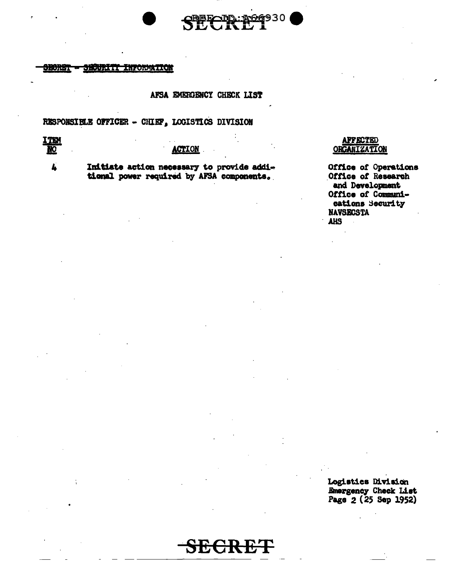



#### <del>security information</del> **BEORET**

## AFSA EMERGENCY CHECK LIST

# RESPONSIELE OFFICER - CHIEF, LOGISTICS DIVISION

HE

L

## **ACTION**

Initiate action necessary to provide additional power required by AFSA components.

## **AFFECTED ORGANIZATION**

Office of Operations Office of Research and Development Office of Communications Security **NAVSECSTA AHS** 

Logistics Division Emergency Check List<br>Page 2 (25 Sep 1952)

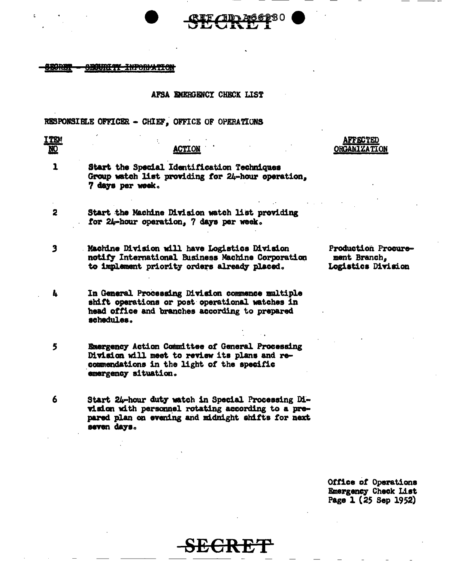

ć

## AFSA EMERGENCY CHECK LIST

90

RESPONSIBLE OFFICER - CHIEF, OFFICE OF OPERATIONS

| I TRV<br>ŅО             | <b>ACTION</b>                                                                                                                                                                 | <b>AFFECTED</b><br><b>ORGANIZATION</b>                    |
|-------------------------|-------------------------------------------------------------------------------------------------------------------------------------------------------------------------------|-----------------------------------------------------------|
| 1                       | Start the Special Identification Techniques<br>Group watch list providing for 24-hour operation,<br>7 days per week.                                                          |                                                           |
| $\overline{\mathbf{2}}$ | Start the Machine Division watch list providing<br>for 24-hour operation, 7 days per week.                                                                                    |                                                           |
| 3                       | Machine Division will have Logistics Division<br>notify International Business Machine Corporation<br>to implement priority orders already placed.                            | Production Procure-<br>ment Branch,<br>Logistics Division |
| Ł.                      | In General Processing Division commence multiple<br>shift operations or post operational watches in<br>head office and branches according to prepared<br>schedules.           |                                                           |
| 5                       | Emergency Action Committee of General Processing<br>Division will meet to review its plans and re-<br>commendations in the light of the specific<br>emergency situation.      |                                                           |
| 6                       | Start 24-hour duty watch in Special Processing Di-<br>vision with personnel rotating according to a pre-<br>pared plan on evening and midnight shifts for next<br>seven days. |                                                           |

Office of Operations<br>Emergency Check List<br>Page 1 (25 Sep 1952)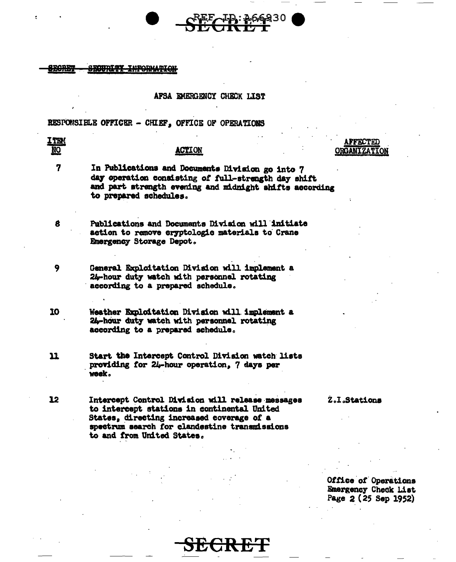### **OURITY INFORMATION**

### AFSA EMERGENCY CHECK LIST

## RESPONSIBLE OFFICER - CHIEF, OFFICE OF OPERATIONS

**ITEM FFECTEL** NO<sub>1</sub> **ACTION ORGANIZATION** 7 In Publications and Documents Division go into 7 day operation consisting of full-strength day shift and part strength evening and midnight shifts according to prepared schedules. 8 Publications and Documents Division will initiate action to remove cryptologic materials to Crane Emergency Storage Depot. 9 General Exploitation Division will implement a 24-hour duty watch with personnel rotating according to a prepared schedule. 10 Weather Exploitation Division will implement a 24-hour duty watch with personnel rotating according to a prepared schedule.  $\mathbf{u}$ Start the Intercept Control Division watch lists providing for 24-hour operation, 7 days per week . 12 Intercept Control Division will release messages Z.I.Stations to intercept stations in continental United States, directing increased coverage of a spectrum search for clandestine transmissions to and from United States.

> **Office of Operations Emergency Check List** Page 2 (25 Sep 1952)

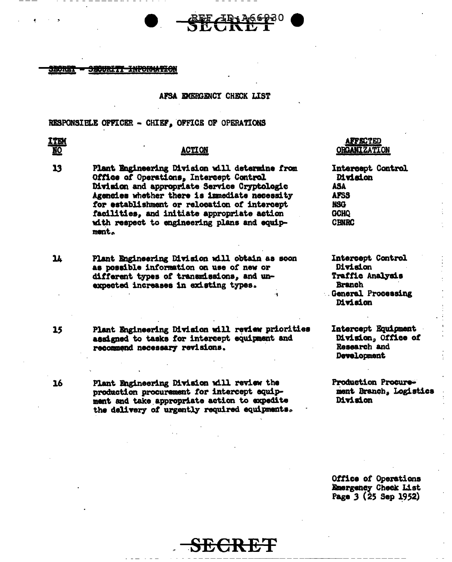#### **RUMBI** <del>SECURITI INFORMATION</del>

#### AFSA EMERGENCY CHECK LIST

RESPONSIBLE OFFICER - CHIEF, OFFICE OF OPERATIONS

## **ITEM** <u>NQ</u>

 $15$ 

16

## **ACTION**

- 13 Plant Engineering Division will determine from Office of Operations, Intercept Control Division and appropriate Service Cryptologic Agencies whether there is immediate necessity for establishment or relocation of intercept facilities, and initiate appropriate action with respect to engineering plans and equipment.
- $\mathbf{u}$ Plant Engineering Division will obtain as soon as possible information on use of new or different types of transmissions, and unexpected increases in existing types.
	- Plant Engineering Division will review priorities assigned to tasks for intercept equipment and recommend necessary revisions.

Plant Engineering Division will review the production procurement for intercept equipment and take appropriate action to expedite the delivery of urgently required equipments.

## **AFFECTED ORGANIZATION**

Intercept Control **Division** ASA **AFSS NSG GCHO CENRC** 

Intercept Control Division Traffic Analysis **Branch General Processing Division** 

Intercept Equipment Division. Office of Research and Development

**Production Procure**ment Branch, Logistics Division

Office of Operations Emergency Check List Page 3 (25 Sep 1952)

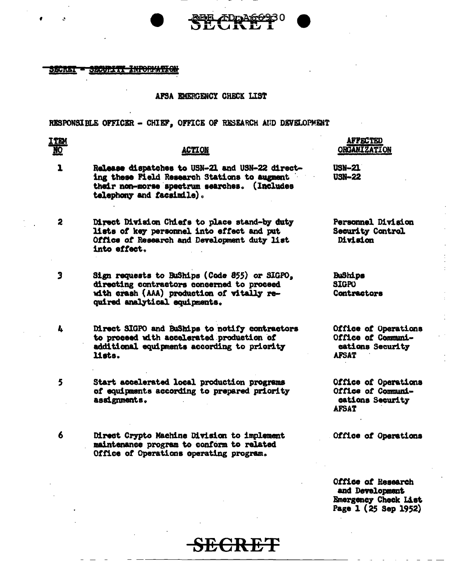



#### SECRET SECURITY INPORMATION

### AFSA EMERGENCY CHECK LIST

RESPONSIBLE OFFICER - CHIEF, OFFICE OF RESEARCH AND DEVELOPMENT

| <b>ITEM</b><br><u>NO</u> | <b>ACTION</b>                                                                                                                                                                | <b>AFFECTED</b><br><b>ORGANIZATION</b>                                                |
|--------------------------|------------------------------------------------------------------------------------------------------------------------------------------------------------------------------|---------------------------------------------------------------------------------------|
| $\mathbf{I}$             | Release dispatches to USN-21 and USN-22 direct-<br>ing these Field Research Stations to augment<br>their non-morse spectrum searches. (Includes<br>telephony and facsimile). | <b>USN-21</b><br><b>USN-22</b>                                                        |
| $\overline{\mathbf{2}}$  | Direct Division Chiefs to place stand-by duty<br>lists of key personnel into effect and put<br>Office of Research and Development duty list<br>into effect.                  | Personnel Division<br><b>Security Control</b><br>Division                             |
| 3                        | Sign requests to BuShips (Code 855) or SIGPO.<br>directing contractors concerned to proceed<br>with crash (AAA) production of vitally re-<br>quired analytical equipments.   | <b>BuShips</b><br><b>SIGPO</b><br>Contractors                                         |
| 4                        | Direct SIGPO and BuShips to notify contractors<br>to proceed with accelerated production of<br>additional equipments according to priority<br>lists.                         | Office of Operations<br>Office of Communi-<br>cations Security<br><b>AFSAT</b>        |
| 5                        | Start accelerated local production programs<br>of equipments according to prepared priority<br>assignments.                                                                  | <b>Office of Operations</b><br>Office of Communi-<br>cations Security<br><b>AFSAT</b> |
| 6                        | Direct Crypto Machine Division to implement<br>maintenance program to conform to related<br>Office of Operations operating program.                                          | Office of Operations                                                                  |

Office of Research and Development<br>Emergency Check List<br>Page 1 (25 Sep 1952)

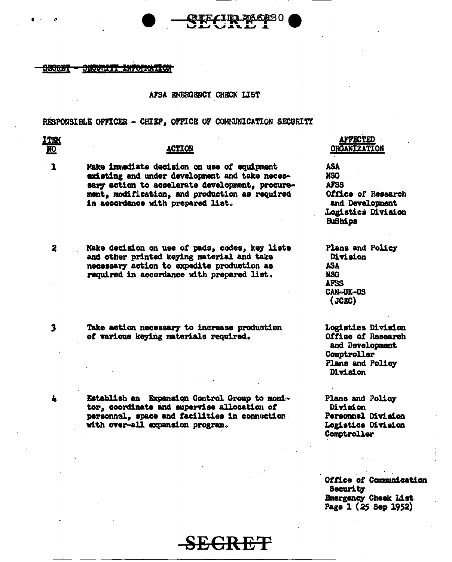#### <del>securitt information</del> 9<del>00R07</del>

#### AFSA EMERGENCY CHECK LIST

#### RESPONSIBLE OFFICER - CHIEF, OFFICE OF COMMUNICATION SECURITY

## <u>ITEM</u> NO<sub>1</sub>

 $\mathbf{I}$ 

 $\mathbf{z}$ 

3

4

#### **ACTION**

Make immediate decision on use of equipment existing and under development and take necessary action to accelerate development, procurement, modification, and production as required in accordance with prepared list.

Make decision on use of pads, codes, key lists and other printed keying material and take necessary action to expedite production as required in accordance with prepared list.

Take action necessary to increase production of various keying materials required.

Establish an Expansion Control Group to monitor, coordinate and supervise allocation of personnel, space and facilities in connection. with over-all expansion program.

## **AFFECTED ORGANIZATION**

ASA **NSG AFSS** Office of Research and Development Logistics Division **BuShips** 

Plans and Policy Division **ASA NSG AFSS CAN-UK-US**  $(JGEC)$ 

Logistics Division Office of Research and Development Comptroller Plans and Policy **Division** 

Plans and Policy Division Personnel Division **Logistics Division** Comptroller

Office of Communication **Security** Emergency Check List Page 1 (25 Sep 1952)